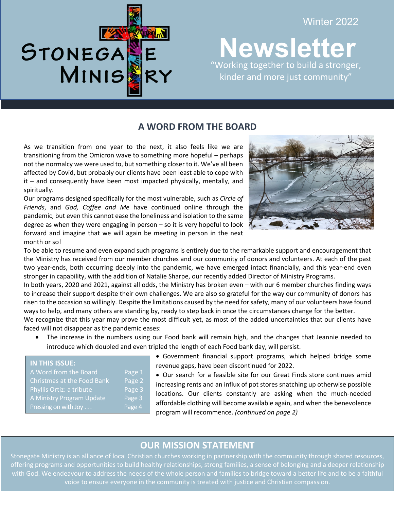

### Winter 2022

**Newsletter 19** "Working together to build a stronger, kinder and more just community"

֦

### **A WORD FROM THE BOARD**

As we transition from one year to the next, it also feels like we are transitioning from the Omicron wave to something more hopeful – perhaps not the normalcy we were used to, but something closer to it. We've all been affected by Covid, but probably our clients have been least able to cope with it – and consequently have been most impacted physically, mentally, and spiritually.

Our programs designed specifically for the most vulnerable, such as *Circle of Friends*, and *God, Coffee and Me* have continued online through the pandemic, but even this cannot ease the loneliness and isolation to the same degree as when they were engaging in person – so it is very hopeful to look forward and imagine that we will again be meeting in person in the next month or so!



To be able to resume and even expand such programs is entirely due to the remarkable support and encouragement that the Ministry has received from our member churches and our community of donors and volunteers. At each of the past two year-ends, both occurring deeply into the pandemic, we have emerged intact financially, and this year-end even stronger in capability, with the addition of Natalie Sharpe, our recently added Director of Ministry Programs.

In both years, 2020 and 2021, against all odds, the Ministry has broken even – with our 6 member churches finding ways to increase their support despite their own challenges. We are also so grateful for the way our community of donors has risen to the occasion so willingly. Despite the limitations caused by the need for safety, many of our volunteers have found ways to help, and many others are standing by, ready to step back in once the circumstances change for the better.

We recognize that this year may prove the most difficult yet, as most of the added uncertainties that our clients have faced will not disappear as the pandemic eases:

• The increase in the numbers using our Food bank will remain high, and the changes that Jeannie needed to introduce which doubled and even tripled the length of each Food bank day, will persist.

| <b>IN THIS ISSUE:</b>      |        |
|----------------------------|--------|
| A Word from the Board      | Page 1 |
| Christmas at the Food Bank | Page 2 |
| Phyllis Ortiz: a tribute   | Page 3 |
| A Ministry Program Update  | Page 3 |
| Pressing on with Joy       | Page 4 |

• Government financial support programs, which helped bridge some revenue gaps, have been discontinued for 2022.

• Our search for a feasible site for our Great Finds store continues amid increasing rents and an influx of pot stores snatching up otherwise possible locations. Our clients constantly are asking when the much-needed affordable clothing will become available again, and when the benevolence program will recommence. *(continued on page 2)*

j

# **OUR MISSION STATEMENT**

 Stonegate Ministry is an alliance of local Christian churches working in partnership with the community through shared resources, offering programs and opportunities to build healthy relationships, strong families, a sense of belonging and a deeper relationship with God. We endeavour to address the needs of the whole person and families to bridge toward a better life and to be a faithful voice to ensure everyone in the community is treated with justice and Christian compassion.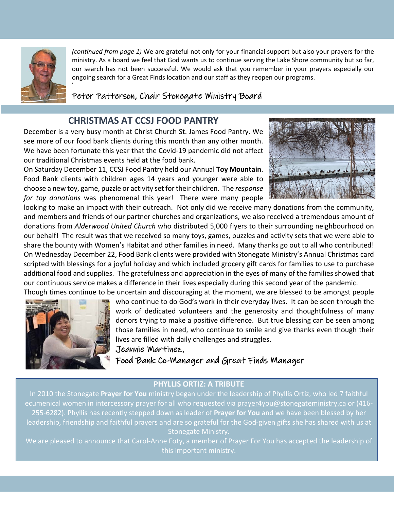

'

*(continued from page 1)* We are grateful not only for your financial support but also your prayers for the ministry. As a board we feel that God wants us to continue serving the Lake Shore community but so far, our search has not been successful. We would ask that you remember in your prayers especially our ongoing search for a Great Finds location and our staff as they reopen our programs.

Peter Patterson, Chair Stonegate Ministry Board

# **CHRISTMAS AT CCSJ FOOD PANTRY**

December is a very busy month at Christ Church St. James Food Pantry. We see more of our food bank clients during this month than any other month. We have been fortunate this year that the Covid-19 pandemic did not affect our traditional Christmas events held at the food bank.

On Saturday December 11, CCSJ Food Pantry held our Annual **Toy Mountain**. Food Bank clients with children ages 14 years and younger were able to choose a new toy, game, puzzle or activity set for their children. The *response for toy donations* was phenomenal this year! There were many people



looking to make an impact with their outreach. Not only did we receive many donations from the community, and members and friends of our partner churches and organizations, we also received a tremendous amount of donations from *Alderwood United Church* who distributed 5,000 flyers to their surrounding neighbourhood on our behalf! The result was that we received so many toys, games, puzzles and activity sets that we were able to share the bounty with Women's Habitat and other families in need. Many thanks go out to all who contributed! On Wednesday December 22, Food Bank clients were provided with Stonegate Ministry's Annual Christmas card scripted with blessings for a joyful holiday and which included grocery gift cards for families to use to purchase additional food and supplies. The gratefulness and appreciation in the eyes of many of the families showed that our continuous service makes a difference in their lives especially during this second year of the pandemic. Though times continue to be uncertain and discouraging at the moment, we are blessed to be amongst people



who continue to do God's work in their everyday lives. It can be seen through the work of dedicated volunteers and the generosity and thoughtfulness of many donors trying to make a positive difference. But true blessing can be seen among those families in need, who continue to smile and give thanks even though their lives are filled with daily challenges and struggles.

#### Jeannie Martinez,

Food Bank Co-Manager and Great Finds Manager

#### **PHYLLIS ORTIZ: A TRIBUTE**

In 2010 the Stonegate **Prayer for You** ministry began under the leadership of Phyllis Ortiz, who led 7 faithful ecumenical women in intercessory prayer for all who requested via prayer4you@stonegateministry.ca or (416-255-6282). Phyllis has recently stepped down as leader of **Prayer for You** and we have been blessed by her leadership, friendship and faithful prayers and are so grateful for the God-given gifts she has shared with us at Stonegate Ministry.

We are pleased to announce that Carol-Anne Foty, a member of Prayer For You has accepted the leadership of this important ministry.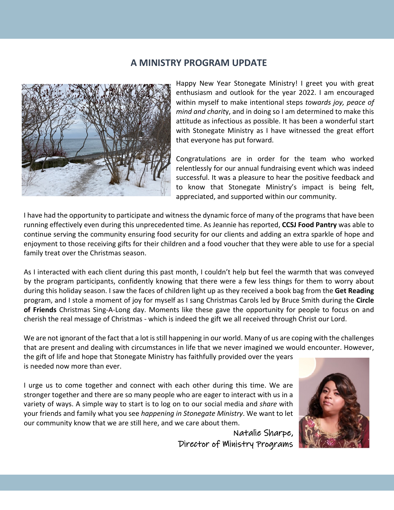# **A MINISTRY PROGRAM UPDATE**



Happy New Year Stonegate Ministry! I greet you with great enthusiasm and outlook for the year 2022. I am encouraged within myself to make intentional steps *towards joy, peace of mind and charit*y, and in doing so I am determined to make this attitude as infectious as possible. It has been a wonderful start with Stonegate Ministry as I have witnessed the great effort that everyone has put forward.

Congratulations are in order for the team who worked relentlessly for our annual fundraising event which was indeed successful. It was a pleasure to hear the positive feedback and to know that Stonegate Ministry's impact is being felt, appreciated, and supported within our community.

I have had the opportunity to participate and witness the dynamic force of many of the programs that have been running effectively even during this unprecedented time. As Jeannie has reported, **CCSJ Food Pantry** was able to continue serving the community ensuring food security for our clients and adding an extra sparkle of hope and enjoyment to those receiving gifts for their children and a food voucher that they were able to use for a special family treat over the Christmas season.

As I interacted with each client during this past month, I couldn't help but feel the warmth that was conveyed by the program participants, confidently knowing that there were a few less things for them to worry about during this holiday season. I saw the faces of children light up as they received a book bag from the **Get Reading** program, and I stole a moment of joy for myself as I sang Christmas Carols led by Bruce Smith during the **Circle of Friends** Christmas Sing-A-Long day. Moments like these gave the opportunity for people to focus on and cherish the real message of Christmas - which is indeed the gift we all received through Christ our Lord.

We are not ignorant of the fact that a lot is still happening in our world. Many of us are coping with the challenges that are present and dealing with circumstances in life that we never imagined we would encounter. However,

the gift of life and hope that Stonegate Ministry has faithfully provided over the years is needed now more than ever.

I urge us to come together and connect with each other during this time. We are stronger together and there are so many people who are eager to interact with us in a variety of ways. A simple way to start is to log on to our social media and *share* with your friends and family what you see *happening in Stonegate Ministry*. We want to let our community know that we are still here, and we care about them.

> Natalie Sharpe, Director of Ministry Programs